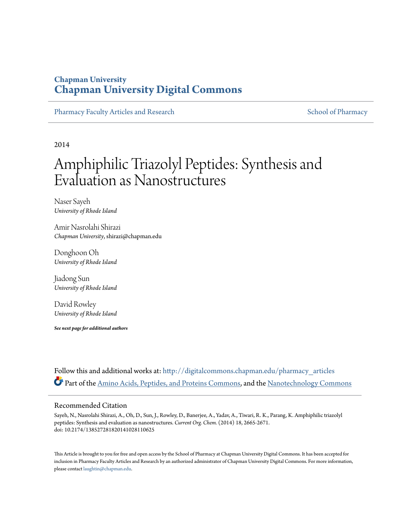## **Chapman University [Chapman University Digital Commons](http://digitalcommons.chapman.edu?utm_source=digitalcommons.chapman.edu%2Fpharmacy_articles%2F101&utm_medium=PDF&utm_campaign=PDFCoverPages)**

[Pharmacy Faculty Articles and Research](http://digitalcommons.chapman.edu/pharmacy_articles?utm_source=digitalcommons.chapman.edu%2Fpharmacy_articles%2F101&utm_medium=PDF&utm_campaign=PDFCoverPages) [School of Pharmacy](http://digitalcommons.chapman.edu/cusp?utm_source=digitalcommons.chapman.edu%2Fpharmacy_articles%2F101&utm_medium=PDF&utm_campaign=PDFCoverPages) School of Pharmacy

2014

# Amphiphilic Triazolyl Peptides: Synthesis and Evaluation as Nanostructures

Naser Sayeh *University of Rhode Island*

Amir Nasrolahi Shirazi *Chapman University*, shirazi@chapman.edu

Donghoon Oh *University of Rhode Island*

Jiadong Sun *University of Rhode Island*

David Rowley *University of Rhode Island*

*See next page for additional authors*

Follow this and additional works at: [http://digitalcommons.chapman.edu/pharmacy\\_articles](http://digitalcommons.chapman.edu/pharmacy_articles?utm_source=digitalcommons.chapman.edu%2Fpharmacy_articles%2F101&utm_medium=PDF&utm_campaign=PDFCoverPages) Part of the [Amino Acids, Peptides, and Proteins Commons](http://network.bepress.com/hgg/discipline/954?utm_source=digitalcommons.chapman.edu%2Fpharmacy_articles%2F101&utm_medium=PDF&utm_campaign=PDFCoverPages), and the [Nanotechnology Commons](http://network.bepress.com/hgg/discipline/1251?utm_source=digitalcommons.chapman.edu%2Fpharmacy_articles%2F101&utm_medium=PDF&utm_campaign=PDFCoverPages)

#### Recommended Citation

Sayeh, N., Nasrolahi Shirazi, A., Oh, D., Sun, J., Rowley, D., Banerjee, A., Yadav, A., Tiwari, R. K., Parang, K. Amphiphilic triazolyl peptides: Synthesis and evaluation as nanostructures. *Current Org. Chem.* (2014) 18, 2665-2671. doi: 10.2174/138527281820141028110625

This Article is brought to you for free and open access by the School of Pharmacy at Chapman University Digital Commons. It has been accepted for inclusion in Pharmacy Faculty Articles and Research by an authorized administrator of Chapman University Digital Commons. For more information, please contact [laughtin@chapman.edu.](mailto:laughtin@chapman.edu)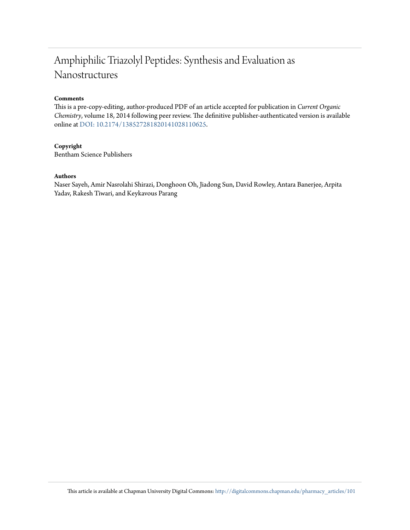# Amphiphilic Triazolyl Peptides: Synthesis and Evaluation as Nanostructures

#### **Comments**

This is a pre-copy-editing, author-produced PDF of an article accepted for publication in *Current Organic Chemistry*, volume 18, 2014 following peer review. The definitive publisher-authenticated version is available online at [DOI: 10.2174/138527281820141028110625.](http://dx.doi.org/10.2174/138527281820141028110625)

#### **Copyright**

Bentham Science Publishers

#### **Authors**

Naser Sayeh, Amir Nasrolahi Shirazi, Donghoon Oh, Jiadong Sun, David Rowley, Antara Banerjee, Arpita Yadav, Rakesh Tiwari, and Keykavous Parang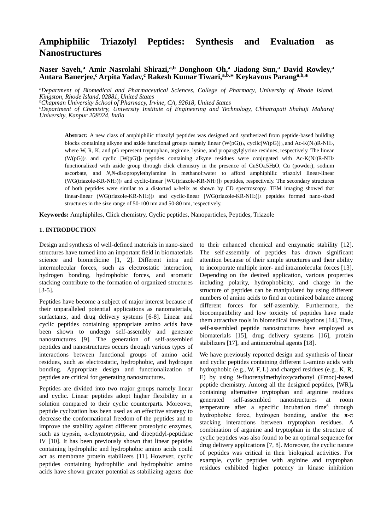## **Amphiphilic Triazolyl Peptides: Synthesis and Evaluation as Nanostructures**

#### **Naser Sayeh,<sup>a</sup> Amir Nasrolahi Shirazi,a,b Donghoon Oh,<sup>a</sup> Jiadong Sun,<sup>a</sup> David Rowley,<sup>a</sup> Antara Banerjee,<sup>c</sup> Arpita Yadav,<sup>c</sup> Rakesh Kumar Tiwari,a,b,\* Keykavous Paranga,b,\***

*<sup>a</sup>Department of Biomedical and Pharmaceutical Sciences, College of Pharmacy, University of Rhode Island, Kingston, Rhode Island, 02881, United States*

*<sup>b</sup>Chapman University School of Pharmacy, Irvine, CA, 92618, United States*

*<sup>c</sup>Department of Chemistry, University Institute of Engineering and Technology, Chhatrapati Shahuji Maharaj University, Kanpur 208024, India*

**Abstract:** A new class of amphiphilic triazolyl peptides was designed and synthesized from peptide-based building blocks containing alkyne and azide functional groups namely linear  $(W(pG))_3$ , cyclic $[W(pG)]_3$ , and Ac-K(N<sub>3</sub>)R-NH<sub>2</sub>, where W, R, K, and pG represent tryptophan, arginine, lysine, and propargylglycine residues, respectively. The linear  $(W(pG))_3$  and cyclic  $[W(pG)]_3$  peptides containing alkyne residues were conjugated with Ac-K(N<sub>3</sub>)R-NH<sub>2</sub> functionalized with azide group through click chemistry in the presence of CuSO4.5H2O, Cu (powder), sodium ascorbate, and *N*,*N*-disopropylethylamine in methanol:water to afford amphiphilic triazolyl linear-linear (WG(triazole-KR-NH2))<sup>3</sup> and cyclic-linear [WG(triazole-KR-NH2)]<sup>3</sup> peptides, respectively. The secondary structures of both peptides were similar to a distorted  $\alpha$ -helix as shown by CD spectroscopy. TEM imaging showed that linear-linear (WG(triazole-KR-NH2))<sup>3</sup> and cyclic-linear [WG(triazole-KR-NH2)]<sup>3</sup> peptides formed nano-sized structures in the size range of 50-100 nm and 50-80 nm, respectively.

**Keywords:** Amphiphiles, Click chemistry, Cyclic peptides, Nanoparticles, Peptides, Triazole

#### **1. INTRODUCTION**

Design and synthesis of well-defined materials in nano-sized structures have turned into an important field in biomaterials science and biomedicine [1, 2]. Different intra and intermolecular forces, such as electrostatic interaction, hydrogen bonding, hydrophobic forces, and aromatic stacking contribute to the formation of organized structures [3-5].

Peptides have become a subject of major interest because of their unparalleled potential applications as nanomaterials, surfactants, and drug delivery systems [6-8]. Linear and cyclic peptides containing appropriate amino acids have been shown to undergo self-assembly and generate nanostructures [9]. The generation of self-assembled peptides and nanostructures occurs through various types of interactions between functional groups of amino acid residues, such as electrostatic, hydrophobic, and hydrogen bonding. Appropriate design and functionalization of peptides are critical for generating nanostructures.

Peptides are divided into two major groups namely linear and cyclic. Linear peptides adopt higher flexibility in a solution compared to their cyclic counterparts. Moreover, peptide cyclization has been used as an effective strategy to decrease the conformational freedom of the peptides and to improve the stability against different proteolytic enzymes, such as trypsin, α-chymotrypsin, and dipeptidyl-peptidase IV [10]. It has been previously shown that linear peptides containing hydrophilic and hydrophobic amino acids could act as membrane protein stabilizers [11]. However, cyclic peptides containing hydrophilic and hydrophobic amino acids have shown greater potential as stabilizing agents due to their enhanced chemical and enzymatic stability [12]. The self-assembly of peptides has drawn significant attention because of their simple structures and their ability to incorporate multiple inter- and intramolecular forces [13]. Depending on the desired application, various properties including polarity, hydrophobicity, and charge in the structure of peptides can be manipulated by using different numbers of amino acids to find an optimized balance among different forces for self-assembly. Furthermore, the biocompatibility and low toxicity of peptides have made them attractive tools in biomedical investigations [14]. Thus, self-assembled peptide nanostructures have employed as biomaterials [15], drug delivery systems [16], protein stabilizers [17], and antimicrobial agents [18].

We have previously reported design and synthesis of linear and cyclic peptides containing different L-amino acids with hydrophobic (e.g., W, F, L) and charged residues (e.g., K, R, E) by using 9-fluorenylmethyloxycarbonyl (Fmoc)-based peptide chemistry. Among all the designed peptides, [WR]<sup>4</sup> containing alternative tryptophan and arginine residues generated self-assembled nanostructures at room temperature after a specific incubation time<sup>6</sup> through hydrophobic force, hydrogen bonding, and/or the  $\pi$ - $\pi$ stacking interactions between tryptophan residues. A combination of arginine and tryptophan in the structure of cyclic peptides was also found to be an optimal sequence for drug delivery applications [7, 8]. Moreover, the cyclic nature of peptides was critical in their biological activities. For example, cyclic peptides with arginine and tryptophan residues exhibited higher potency in kinase inhibition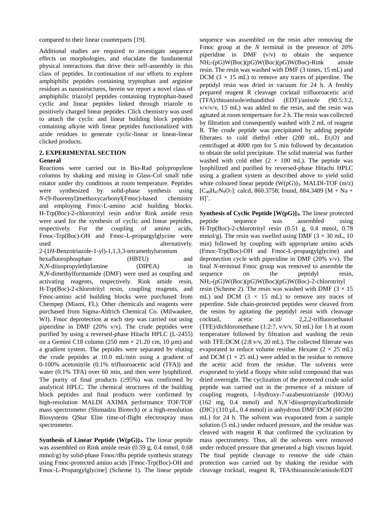compared to their linear counterparts [19].

Additional studies are required to investigate sequence effects on morphologies, and elucidate the fundamental physical interactions that drive their self-assembly in this class of peptides. In continuation of our efforts to explore amphiphilic peptides containing tryptophan and arginine residues as nanostructures, herein we report a novel class of amphiphilic triazolyl peptides containing tryptophan-based cyclic and linear peptides linked through triazole to positively charged linear peptides. Click chemistry was used to attach the cyclic and linear building block peptides containing alkyne with linear peptides functionalized with azide residues to generate cyclic-linear or linear-linear clicked products.

#### **2. EXPERIMENTAL SECTION General**

Reactions were carried out in Bio-Rad polypropylene columns by shaking and mixing in Glass-Col small tube rotator under dry conditions at room temperature. Peptides were synthesized by solid-phase synthesis using *N*-(9-fluorenyl)methoxycarbonyl(Fmoc)-based chemistry and employing Fmoc-L-amino acid building blocks. H-Trp(Boc)-2-chlorotrityl resin and/or Rink amide resin were used for the synthesis of cyclic and linear peptides, respectively. For the coupling of amino acids, Fmoc-Trp(Boc)-OH and Fmoc-L-propargylglycine were used alternatively. 2-(1*H*-Benzotriazole-1-yl)-1,1,3,3-tetramethyluronium

hexafluorophosphate (HBTU) and *N,N-*diisopropylethylamine (DIPEA) in *N*,*N-*dimethylformamide (DMF) were used as coupling and activating reagents, respectively. Rink amide resin, H-Trp(Boc)-2-chlorotrityl resin, coupling reagents, and Fmoc-amino acid building blocks were purchased from Chempep (Miami, FL). Other chemicals and reagents were purchased from Sigma-Aldrich Chemical Co. (Milwaukee, WI). Fmoc deprotection at each step was carried out using piperidine in DMF (20% v/v). The crude peptides were purified by using a reversed-phase Hitachi HPLC (L-2455) on a Gemini C18 column (250 mm  $\times$  21.20 cm, 10 µm) and a gradient system. The peptides were separated by eluting the crude peptides at 10.0 mL/min using a gradient of 0-100% acetonitrile (0.1% trifluoroacetic acid (TFA)) and water (0.1% TFA) over 60 min, and then were lyophilized. The purity of final products  $(\geq 95\%)$  was confirmed by analytical HPLC. The chemical structures of the building block peptides and final products were confirmed by high-resolution MALDI AXIMA performance TOF/TOF mass spectrometer (Shimadzu Biotech) or a high-resolution Biosystems QStar Elite time-of-flight electrospray mass spectrometer.

**Synthesis of Linear Peptide (W(pG))3.** The linear peptide was assembled on Rink amide resin (0.59 g, 0.4 mmol, 0.68 mmol/g) by solid-phase Fmoc/*t*Bu peptide synthesis strategy using Fmoc-protected amino acids [Fmoc-Trp(Boc)-OH and Fmoc-L-Propargylglycine] (Scheme 1). The linear peptide

sequence was assembled on the resin after removing the Fmoc group at the *N* terminal in the presence of 20% piperidine in DMF  $(v/v)$  to obtain the sequence  $NH_2-(pG)W(Boc)(pG)W(Boc)(pG)W(Boc)$ -Rink amide resin. The resin was washed with DMF (3 times, 15 mL) and DCM  $(3 \times 15 \text{ mL})$  to remove any traces of piperdine. The peptidyl resin was dried in vacuum for 24 h. A freshly prepared reagent R cleavage cocktail trifluoroacetic acid (TFA)/thioanisole/ethandithol (EDT)/anisole (90:5:3:2,  $v/v/v$ , 15 mL) was added to the resin, and the resin was agitated at room tempertuare for 2 h. The resin was collected by filtration and consequently washed with 2 mL of reagent R. The crude peptide was precipitated by adding peptide filterates to cold diethyl ether  $(200 \text{ mL}$ ,  $Et<sub>2</sub>O)$  and centrifuged at 4000 rpm for 5 min followed by decantation to obtain the solid precipitate. The solid material was further washed with cold ether  $(2 \times 100 \text{ mL})$ . The peptide was lyophilized and purified by reversed-phase Hitachi HPLC using a gradient system as described above to yield solid white coloured linear peptide  $(W(pG))_3$ . MALDI-TOF  $(m/z)$  $[C_{48}H_{47}N_9O_7]$ : calcd, 860.3758; found, 884.3489 [M + Na +  $H]$ <sup>+</sup>.

**Synthesis of Cyclic Peptide [W(pG)]3.** The linear protected peptide sequence was assembled using H-Trp(Boc)-2-chlorotrityl resin (0.51 g, 0.4 mmol, 0.78 mmol/g). The resin was swelled using DMF ( $3 \times 30$  mL, 10 min) followed by coupling with appropriate amino acids (Fmoc-Trp(Boc)-OH and Fmoc-L-propargylglycine) and deprotection cycle with piperidine in DMF (20% v/v). The final *N*-terminal Fmoc group was removed to assemble the sequence on the peptidyl resin, NH2-(pG)W(Boc)(pG)W(Boc)(pG)W(Boc)-2-chlorotrityl resin (Scheme 2). The resin was washed with DMF ( $3 \times 15$ ) mL) and DCM  $(3 \times 15 \text{ mL})$  to remove any traces of piperdine. Side chain-protected peptides were cleaved from the resins by agitating the peptidyl resin with cleavage cocktail, acetic acid/ 2,2,2-trifluoroethanol (TFE)/dichloromethane (1:2:7, v/v/v, 50 mL) for 1 h at room temperature followed by filtration and washing the resin with TFE:DCM (2:8 v/v, 20 mL). The collected filterate was evaporated to reduce volume residue. Hexane  $(2 \times 25 \text{ mL})$ and DCM  $(1 \times 25 \text{ mL})$  were added to the residue to remove the acetic acid from the residue. The solvents were evaporated to yield a floopy white solid compound that was dried overnight. The cyclization of the protected crude solid peptide was carried out in the presence of a mixture of coupling reagents, 1-hydroxy-7-azabenzotriazole (HOAt) (162 mg, 0.4 mmol) and *N,N*-diisopropylcarbodiimide (DIC) (310 µL, 0.4 mmol) in anhydrous DMF:DCM (60/200 mL) for 24 h. The solvent was evaporated from a sample solution (5 mL) under reduced pressure, and the residue was cleaved with reagent R that confirmed the cyclization by mass spectrometry. Thus, all the solvents were removed under reduced pressure that generated a high viscous liquid. The final peptide cleavage to remove the side chain protection was carried out by shaking the residue with cleavage cocktail, reagent R, TFA/thioanisole/anisole/EDT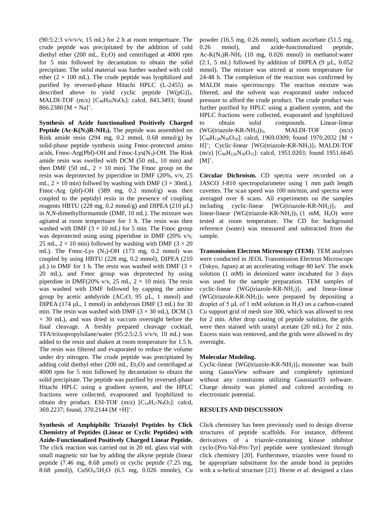$(90:5:2:3 \text{ V/V/V}, 15 \text{ mL})$  for 2 h at room tempertuare. The crude peptide was precipitated by the addition of cold diethyl ether (200 mL,  $Et<sub>2</sub>O$ ) and centrifuged at 4000 rpm for 5 min followed by decantation to obtain the solid precipitate. The solid material was further washed with cold ether ( $2 \times 100$  mL). The crude peptide was lyophilized and purified by reversed-phase Hitachi HPLC (L-2455) as described above to yield cyclic peptide  $[W(pG)]_3$ . MALDI-TOF (m/z) [C48H45N9O6]: calcd, 843.3493; found  $866.2380 [M + Na]$ <sup>+</sup>.

**Synthesis of Azide functionalised Positively Charged Peptide (Ac-K(N3)R-NH2).** The peptide was assembled on Rink amide resin (294 mg, 0.2 mmol, 0.68 mmol/g) by solid-phase peptide synthesis using Fmoc-protected amino acids, Fmoc-Arg(Pbf)-OH and Fmoc-Lys( $N_3$ )-OH. The Rink amide resin was swelled with DCM (50 mL, 10 min) and then DMF (50 mL,  $2 \times 10$  min). The Fmoc group on the resin was deprotected by piperidine in DMF (20%, v/v, 25 mL,  $2 \times 10$  min) follwed by washing with DMF ( $3 \times 30$ mL). Fmoc-Arg (pbf)-OH (389 mg, 0.2 mmol/g) was then coupled to the peptidyl resin in the presence of coupling reagents HBTU (228 mg, 0.2 mmol/g) and DIPEA (210  $\mu$ L) in *N*,*N-*dimethylformamide (DMF, 10 mL). The mixture was agitated at room tempertuare for 1 h. The resin was then washed with DMF ( $3 \times 10$  mL) for 5 min. The Fmoc group was deprotected using using piperidine in DMF (20% v/v, 25 mL,  $2 \times 10$  min) followed by washing with DMF ( $3 \times 20$ mL). The Fmoc-Lys  $(N_3)$ -OH (173 mg, 0.2 mmol) was coupled by using HBTU (228 mg, 0.2 mmol), DIPEA (210  $\mu$ L) in DMF for 1 h. The resin was washed with DMF (3  $\times$ 20 mL), and Fmoc group was deprotected by using piperdine in DMF(20% v/v, 25 mL,  $2 \times 10$  min). The resin was washed with DMF followed by capping the amino group by acetic anhayride  $(AC_2O, 95 \mu L, 1 \text{ mmol})$  and DIPEA (174 µL, 1 mmol) in anhdyrous DMF (3 mL) for 30 min. The resin was washed with DMF  $(3 \times 30 \text{ mL})$ , DCM  $(3 \text{ m})$  $\times$  30 mL), and was dried in vaccum overnight before the final cleavage. A freshly prepared cleavage cocktail, TFA/triisopropylsilane/water (95:2.5:2.5 v/v/v, 10 mL) was added to the resin and shaken at room temperature for 1.5 h. The resin was filtered and evaporated to reduce the volume under dry nitrogen. The crude peptide was precipitated by adding cold diethyl ether  $(200 \text{ mL}, \text{Et}_2\text{O})$  and centrifuged at 4000 rpm for 5 min followed by decantation to obtain the solid precipitate. The peptide was purified by reversed-phase Hitachi HPLC using a gradient system, and the HPLC fractions were collected, evaporated and lyophilized to obtain dry product. ESI-TOF  $(m/z)$   $[C_{14}H_{27}N_9O_3]$ : calcd, 369.2237; found, 370.2144 [M +H]<sup>+</sup>.

**Synthesis of Amphiphilic Triazolyl Peptides by Click Chemistry of Peptides (Linear or Cyclic Peptides) with Azide-Functionalized Positively Charged Linear Peptide.**  The click reaction was carried out in 20 mL glass vial with small magnetic stir bar by adding the alkyne peptide (linear peptide (7.46 mg, 8.68 µmol) or cyclic peptide (7.25 mg, 8.68 µmol)), CuSO4.5H2O (6.5 mg, 0.026 mmole), Cu

powder (16.5 mg, 0.26 mmol), sodium ascorbate (51.5 mg, 0.26 mmol), and azide-functionalized peptide, Ac-K(N<sub>3</sub>)R-NH<sub>2</sub> (10 mg, 0.026 mmol) in methanol: water (2:1, 5 mL) followed by addition of DIPEA (9  $\mu$ L, 0.052 mmol). The mixture was stirred at room temperature for 24-48 h. The completion of the reaction was confirmed by MALDI mass spectroscopy. The reaction mixture was filtered, and the solvent was evaporated under reduced pressure to afford the crude product. The crude product was further purified by HPLC using a gradient system, and the HPLC fractions were collected, evaporated and lyophilized to obtain solid compounds. Linear-linear  $(WG(triazole-KR-NH<sub>2</sub>))<sub>3</sub>$ , MALDI-TOF  $(m/z)$  $[C_{90}H_{128}N_{36}O_{16}]$ : calcd, 1969.0309; found 1970.2032  $[M +]$ H]<sup>+</sup>; Cyclic-linear [WG(triazole-KR-NH<sub>2</sub>)]<sub>3</sub> MALDI-TOF (m/z)  $[C_{90}H_{126}N_{36}O_{15}]$ : calcd, 1951.0203; found 1951.6645  $[M]^+.$ 

**Circular Dichroism.** CD spectra were recorded on a JASCO J-810 spectropolarimeter using 1 mm path length cuvettes. The scan speed was 100 nm/min, and spectra were averaged over 8 scans. All experiments on the samples including cyclic-linear  $[WG(triazole-KR-NH_2)]_3$  and linear-linear (WG(triazole-KR-NH<sub>2</sub>))<sub>3</sub> (1 mM, H<sub>2</sub>O) were tested at room temperature. The CD for background reference (water) was measured and subtracted from the sample.

**Transmission Electron Microscopy (TEM)**. TEM analyses were conducted in JEOL Transmission Electron Microscope (Tokyo, Japan) at an accelerating voltage 80 keV. The stock solution (1 mM) in deionized water incubated for 3 days was used for the sample preparation. TEM samples of cyclic-linear  $[WG(triazole-KR-NH_2)]_3$  and linear-linear  $(WG(triazole-KR-NH<sub>2</sub>))$ <sub>3</sub> were prepared by depositing a droplet of 5  $\mu$ L of 1 mM solution in H<sub>2</sub>O on a carbon-coated Cu support grid of mesh size 300, which was allowed to rest for 2 min. After drop casting of peptide solution, the grids were then stained with uranyl acetate (20 mL) for 2 min. Excess stain was removed, and the grids were allowed to dry overnight.

#### **Molecular Modeling.**

Cyclic-linear  $[WG(triazole-KR-NH<sub>2</sub>)]_3$  monomer was built using GaussView software and completely optimized without any constraints utilizing Gaussian'03 software. Charge density was plotted and colored according to electrostatic potential.

#### **RESULTS AND DISCUSSION**

Click chemistry has been previously used to design diverse structures of peptide scaffolds. For instance, different derivatives of a triazole-containing kinase inhibitor cyclo-[Pro-Val-Pro-Tyr] peptide were synthesized through click chemistry [20]. Furthermore, triazoles were found to be appropriate substituent for the amide bond in peptides with a α-helical structure [21]. Horne *et al.* designed a class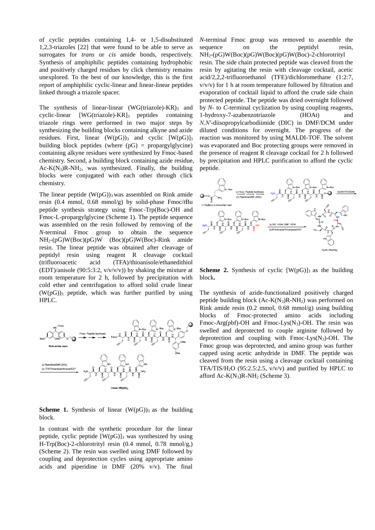of cyclic peptides containing 1,4- or 1,5-disubstituted 1,2,3-triazoles [22] that were found to be able to serve as surrogates for *trans* or *cis* amide bonds, respectively. Synthesis of amphiphilic peptides containing hydrophobic and positively charged residues by click chemistry remains unexplored. To the best of our knowledge, this is the first report of amphiphilic cyclic-linear and linear-linear peptides linked through a triazole spacer.

The synthesis of linear-linear  $(WG(triazole) - KR$ <sup>3</sup> and cyclic-linear [WG(triazole)-KR]3 peptides containing triazole rings were performed in two major steps by synthesizing the building blocks containing alkyne and azide residues. First, linear  $(W(pG))_3$  and cyclic  $[W(pG)]_3$ building block peptides (where  $(pG)$  = propargylglycine) containing alkyne residues were synthesized by Fmoc-based chemistry. Second, a building block containing azide residue,  $Ac-K(N_3)R-NH_2$ , was synthesized. Finally, the building blocks were conjugated with each other through click chemistry.

The linear peptide  $(W(pG))_3$  was assembled on Rink amide resin (0.4 mmol, 0.68 mmol/g) by solid-phase Fmoc/*t*Bu peptide synthesis strategy using Fmoc-Trp(Boc)-OH and Fmoc-L-propargylglycine (Scheme 1). The peptide sequence was assembled on the resin followed by removing of the *N*-terminal Fmoc group to obtain the sequence NH2-(pG)W(Boc)(pG)W (Boc)(pG)W(Boc)-Rink amide resin. The linear peptide was obtained after cleavage of peptidyl resin using reagent R cleavage cocktail (trifluoroacetic acid (TFA)/thioanisole/ethanedithiol (EDT)/anisole (90:5:3:2,  $v/v/v/v$ )) by shaking the mixture at room temperature for 2 h, followed by precipitation with cold ether and centrifugation to afford solid crude linear  $(W(pG))_3$  peptide, which was further purified by using HPLC.



#### **Scheme 1.** Synthesis of linear  $(W(pG))_3$  as the building block.

In contrast with the synthetic procedure for the linear peptide, cyclic peptide  $[W(pG)]_3$  was synthesized by using H-Trp(Boc)-2-chlorotrityl resin (0.4 mmol, 0.78 mmol/g,) (Scheme 2). The resin was swelled using DMF followed by coupling and deprotection cycles using appropriate amino acids and piperidine in DMF (20% v/v). The final

*N*-terminal Fmoc group was removed to assemble the sequence on the peptidyl resin, NH2-(pG)W(Boc)(pG)W(Boc)(pG)W(Boc)-2-chlorotrityl resin. The side chain protected peptide was cleaved from the resin by agitating the resin with cleavage cocktail, acetic acid/2,2,2-trifluoroethanol (TFE)/dichloromethane (1:2:7, v/v/v) for 1 h at room temperature followed by filtration and evaporation of cocktail liquid to afford the crude side chain protected peptide. The peptide was dried overnight followed by *N-* to *C-*terminal cyclization by using coupling reagents, 1-hydroxy-7-azabenzotriazole (HOAt) and *N,N′-*diisopropylcarbodiimide (DIC) in DMF/DCM under diluted conditions for overnight. The progress of the reaction was monitored by using MALDI-TOF. The solvent was evaporated and Boc protecting groups were removed in the presence of reagent R cleavage cocktail for 2 h followed by precipitation and HPLC purification to afford the cyclic peptide.



**Scheme 2.** Synthesis of cyclic  $[W(pG)]_3$  as the building block**.**

The synthesis of azide-functionalized positively charged peptide building block  $(Ac-K(N_3)R-NH_2)$  was performed on Rink amide resin (0.2 mmol, 0.68 mmol/g) using building blocks of Fmoc-protected amino acids including Fmoc-Arg(pbf)-OH and Fmoc-Lys( $N_3$ )-OH. The resin was swelled and deprotected to couple arginine followed by deprotection and coupling with  $Fmoc-Lys(N<sub>3</sub>)$ -OH. The Fmoc group was deprotected, and amino group was further capped using acetic anhydride in DMF. The peptide was cleaved from the resin using a cleavage cocktail containing TFA/TIS/H<sub>2</sub>O (95:2.5:2.5,  $v/v/v$ ) and purified by HPLC to afford Ac- $K(N_3)R-NH_2$  (Scheme 3).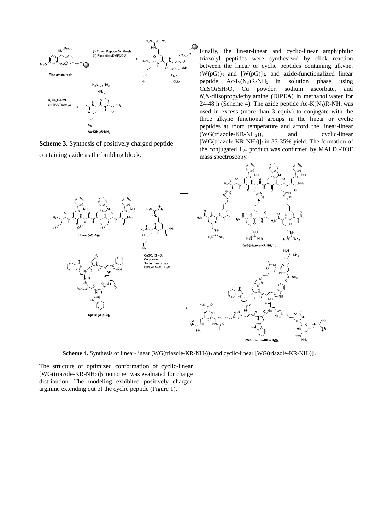

**Scheme 3.** Synthesis of positively charged peptide containing azide as the building block.

Finally, the linear-linear and cyclic-linear amphiphilic triazolyl peptides were synthesized by click reaction between the linear or cyclic peptides containing alkyne,  $(W(pG))_3$  and  $[W(pG)]_3$ , and azide-functionalized linear peptide  $Ac-K(N_3)R-NH_2$  in solution phase using CuSO<sup>4</sup> .5H2O, Cu powder, sodium ascorbate, and *N*,*N*-diisopropylethylamine (DIPEA) in methanol:water for 24-48 h (Scheme 4). The azide peptide  $Ac-K(N_3)R-NH_2$  was used in excess (more than 3 equiv) to conjugate with the three alkyne functional groups in the linear or cyclic peptides at room temperature and afford the linear-linear  $(WG(triazole-KR-NH<sub>2</sub>))$ <sub>3</sub> and cyclic-linear [WG(triazole-KR-NH<sub>2</sub>)]<sub>3</sub> in 33-35% yield. The formation of the conjugated 1,4 product was confirmed by MALDI-TOF mass spectroscopy.



**Scheme 4.** Synthesis of linear-linear (WG(triazole-KR-NH<sub>2</sub>))<sub>3</sub> and cyclic-linear [WG(triazole-KR-NH<sub>2</sub>)]<sub>3</sub>.

The structure of optimized conformation of cyclic-linear  $[WG(triazole-KR-NH<sub>2</sub>)]<sub>3</sub>$  monomer was evaluated for charge distribution. The modeling exhibited positively charged arginine extending out of the cyclic peptide (Figure 1).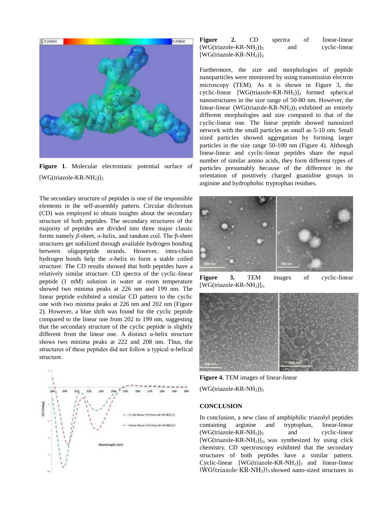

**Figure 1.** Molecular electrostatic potential surface of  $[WG(triazole-KR-NH<sub>2</sub>)]<sub>3</sub>$ .

The secondary structure of peptides is one of the responsible elements in the self-assembly pattern. Circular dichroism (CD) was employed to obtain insights about the secondary structure of both peptides. The secondary structures of the majority of peptides are divided into three major classic forms namely *β*-sheet, *α*-helix, and random coil. The β-sheet structures get stabilized through available hydrogen bonding between oligopeptide strands. However, intra-chain hydrogen bonds help the *α*-helix to form a stable coiled structure. The CD results showed that both peptides have a relatively similar structure. CD spectra of the cyclic-linear peptide (1 mM) solution in water at room temperature showed two minima peaks at 226 nm and 199 nm. The linear peptide exhibited a similar CD pattern to the cyclic one with two minima peaks at 226 nm and 202 nm (Figure 2). However, a blue shift was found for the cyclic peptide compared to the linear one from 202 to 199 nm, suggesting that the secondary structure of the cyclic peptide is slightly different from the linear one. A distinct α-helix structure shows two minima peaks at 222 and 208 nm. Thus, the structures of these peptides did not follow a typical  $\alpha$ -helical structure.



| <b>Figure</b>                                    |  | CD. | spectra | οf | linear-linear |
|--------------------------------------------------|--|-----|---------|----|---------------|
| $(WG(triazole-KR-NH2))3$                         |  |     | and     |    | cyclic-linear |
| [WG(triazole-KR-NH <sub>2</sub> )] <sub>3.</sub> |  |     |         |    |               |

Furthermore, the size and morphologies of peptide nanoparticles were monitored by using transmission electron microscopy (TEM). As it is shown in Figure 3, the cyclic-linear [WG(triazole-KR-NH<sub>2</sub>)]<sub>3</sub> formed spherical nanostructures in the size range of 50-80 nm. However, the linear-linear (WG(triazole-KR-NH<sub>2</sub>))<sub>3</sub> exhibited an entirely different morphologies and size compared to that of the cyclic-linear one. The linear peptide showed nanosized network with the small particles as small as 5-10 nm. Small sized particles showed aggregation by forming larger particles in the size range 50-100 nm (Figure 4). Although linear-linear and cyclic-linear peptides share the equal number of similar amino acids, they form different types of particles presumably because of the difference in the orientation of positively charged guanidine groups in arginine and hydrophobic tryptophan residues.



**Figure 3.** TEM images of cyclic-linear  $[WG(triazole-KR-NH<sub>2</sub>)]<sub>3</sub>$ .



**Figure 4.** TEM images of linear-linear

 $(WG(triazole-KR-NH<sub>2</sub>))<sub>3</sub>$ .

#### **CONCLUSION**

In conclusion, a new class of amphiphilic triazolyl peptides containing arginine and tryptophan, linear-linear  $(WG(triazole-KR-NH<sub>2</sub>))<sub>3</sub>$  and cyclic-linear  $[WG(triazole-KR-NH<sub>2</sub>)]<sub>3</sub>$ , was synthesized by using click chemistry. CD spectroscopy exhibited that the secondary structures of both peptides have a similar pattern. Cyclic-linear  $[WG(triazole-KR-NH_2)]_3$  and linear-linear  $(WG(triazole-KR-NH<sub>2</sub>))<sub>3</sub>$  showed nano-sized structures in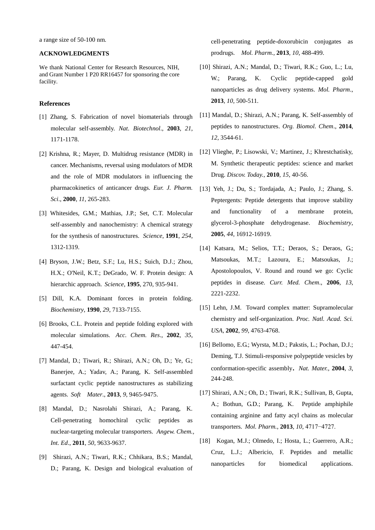a range size of 50-100 nm.

#### **ACKNOWLEDGMENTS**

We thank National Center for Research Resources, NIH, and Grant Number 1 P20 RR16457 for sponsoring the core facility.

#### **References**

- [1] Zhang, S. Fabrication of novel biomaterials through molecular self-assembly. *Nat. Biotechnol*., **2003**, *21*, 1171-1178.
- [2] Krishna, R.; Mayer, D. Multidrug resistance (MDR) in cancer. Mechanisms, reversal using modulators of MDR and the role of MDR modulators in influencing the pharmacokinetics of anticancer drugs. *Eur. J. Pharm. Sci*., **2000**, *11*, 265-283.
- [3] Whitesides, G.M.; Mathias, J.P.; Set, C.T. Molecular self-assembly and nanochemistry: A chemical strategy for the synthesis of nanostructures. *Science*, **1991**, *254*, 1312-1319.
- [4] Bryson, J.W.; Betz, S.F.; Lu, H.S.; Suich, D.J.; Zhou, H.X.; O'Neil, K.T.; DeGrado, W. F. Protein design: A hierarchic approach. *Science*, **1995**, 270, 935-941.
- [5] Dill, K.A. Dominant forces in protein folding. *Biochemistry*, **1990**, *29*, 7133-7155.
- [6] Brooks, C.L. Protein and peptide folding explored with molecular simulations. *Acc. Chem. Res*., **2002**, *35*, 447-454.
- [7] Mandal, D.; Tiwari, R.; Shirazi, A.N.; Oh, D.; Ye, G.; Banerjee, A.; Yadav, A.; Parang, K. Self-assembled surfactant cyclic peptide nanostructures as stabilizing agents. *Soft Mater*., **2013**, *9*, 9465-9475.
- [8] Mandal, D.; Nasrolahi Shirazi, A.; Parang, K. Cell-penetrating homochiral cyclic peptides as nuclear-targeting molecular transporters. *Angew. Chem., Int. Ed*., **2011**, *50*, 9633-9637.
- [9] Shirazi, A.N.; Tiwari, R.K.; Chhikara, B.S.; Mandal, D.; Parang, K. Design and biological evaluation of

cell-penetrating peptide-doxorubicin conjugates as prodrugs. *Mol. Pharm.*, **2013**, *10*, 488-499.

- [10] Shirazi, A.N.; Mandal, D.; Tiwari, R.K.; Guo, L.; Lu, W.; Parang, K. Cyclic peptide-capped gold nanoparticles as drug delivery systems. *Mol. Pharm*., **2013**, *10*, 500-511.
- [11] Mandal, D.; Shirazi, A.N.; Parang, K. Self-assembly of peptides to nanostructures. *Org. Biomol. Chem*., **2014**, *12*, 3544-61.
- [12] Vlieghe, P.; Lisowski, V.; Martinez, J.; Khrestchatisky, M. Synthetic therapeutic peptides: science and market Drug. *Discov. Today.*, **2010**, *15*, 40-56.
- [13] Yeh, J.; Du, S.; Tordajada, A.; Paulo, J.; Zhang, S. Peptergents: Peptide detergents that improve stability and functionality of a membrane protein, glycerol-3-phosphate dehydrogenase. *Biochemistry*, **2005**, *44*, 16912-16919.
- [14] Katsara, M.; Selios, T.T.; Deraos, S.; Deraos, G.; Matsoukas, M.T.; Lazoura, E.; Matsoukas, J.; Apostolopoulos, V*.* Round and round we go: Cyclic peptides in disease. *Curr. Med. Chem*., **2006**, *13*, 2221-2232.
- [15] Lehn, J.M. Toward complex matter: Supramolecular chemistry and self-organization. *Proc. Natl. Acad. Sci. USA*, **2002**, *99*, 4763-4768.
- [16] Bellomo, E.G.; Wyrsta, M.D.; Pakstis, L.; Pochan, D.J.; Deming, T.J. Stimuli-responsive polypeptide vesicles by conformation-specific assembly. *Nat. Mater.*, **<sup>2004</sup>**, *3*, 244-248.
- [17] Shirazi, A.N.; Oh, D.; Tiwari, R.K.; Sullivan, B, Gupta, A.; Bothun, G.D.; Parang, K. Peptide amphiphile containing arginine and fatty acyl chains as molecular transporters. *Mol. Pharm.*, **2013**, *10*, 4717−4727.
- [18] Kogan, M.J.; Olmedo, I.; Hosta, L.; Guerrero, A.R.; Cruz, L.J.; Albericio, F. Peptides and metallic nanoparticles for biomedical applications.